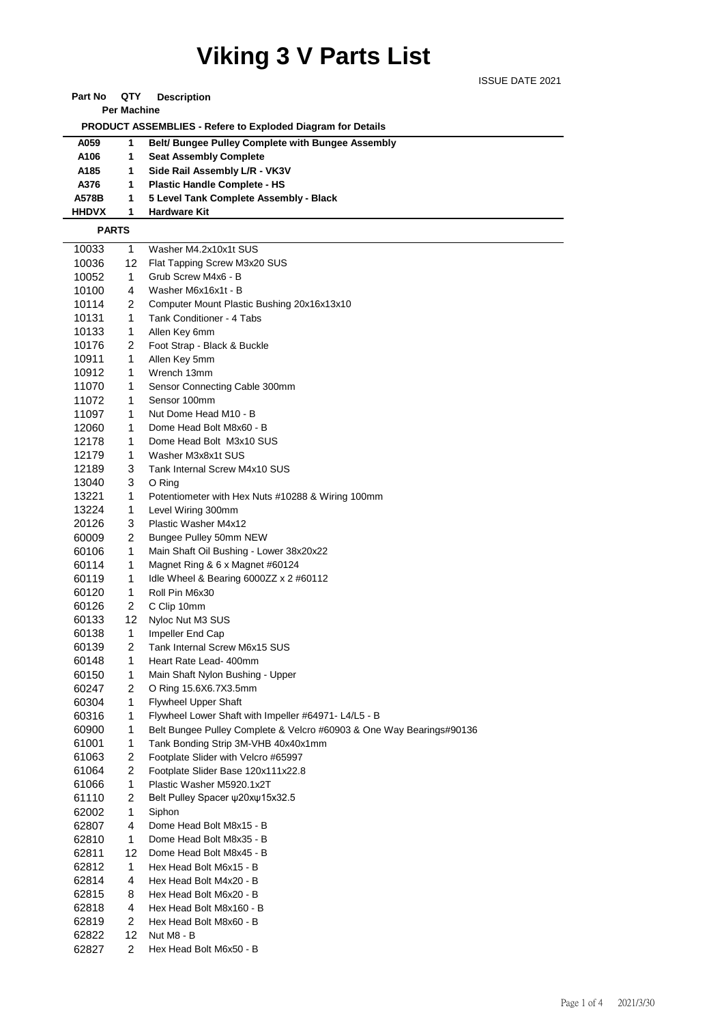## **Viking 3 V Parts List**

 **PRODUCT ASSEMBLIES - Refere to Exploded Diagram for Details** 

ISSUE DATE 2021

| A059         | 1              | Belt/ Bungee Pulley Complete with Bungee Assembly                    |
|--------------|----------------|----------------------------------------------------------------------|
| A106         | 1              | <b>Seat Assembly Complete</b>                                        |
| A185         | 1              | Side Rail Assembly L/R - VK3V                                        |
| A376         | 1              | <b>Plastic Handle Complete - HS</b>                                  |
| A578B        | 1              | 5 Level Tank Complete Assembly - Black                               |
| <b>HHDVX</b> | 1              | <b>Hardware Kit</b>                                                  |
| <b>PARTS</b> |                |                                                                      |
| 10033        | 1              | Washer M4.2x10x1t SUS                                                |
| 10036        | 12.            | Flat Tapping Screw M3x20 SUS                                         |
| 10052        | $\mathbf{1}$   | Grub Screw M4x6 - B                                                  |
| 10100        | 4              | Washer M6x16x1t - B                                                  |
| 10114        | 2              | Computer Mount Plastic Bushing 20x16x13x10                           |
| 10131        | 1              | Tank Conditioner - 4 Tabs                                            |
| 10133        | 1              | Allen Key 6mm                                                        |
| 10176        | 2              | Foot Strap - Black & Buckle                                          |
| 10911        | 1              | Allen Key 5mm                                                        |
| 10912        | 1              | Wrench 13mm                                                          |
| 11070        | 1              | Sensor Connecting Cable 300mm                                        |
| 11072        | 1              | Sensor 100mm                                                         |
| 11097        | 1              | Nut Dome Head M10 - B                                                |
| 12060        | 1              | Dome Head Bolt M8x60 - B                                             |
| 12178        | 1              | Dome Head Bolt M3x10 SUS                                             |
| 12179        | 1              | Washer M3x8x1t SUS                                                   |
| 12189        | 3              | Tank Internal Screw M4x10 SUS                                        |
| 13040        | 3              | O Ring                                                               |
| 13221        | 1              | Potentiometer with Hex Nuts #10288 & Wiring 100mm                    |
| 13224        | 1              | Level Wiring 300mm                                                   |
| 20126        | 3              | Plastic Washer M4x12                                                 |
| 60009        | 2              | Bungee Pulley 50mm NEW                                               |
| 60106        | 1              | Main Shaft Oil Bushing - Lower 38x20x22                              |
| 60114        | 1              | Magnet Ring & 6 x Magnet #60124                                      |
| 60119        | 1              | Idle Wheel & Bearing 6000ZZ x 2 #60112                               |
| 60120        | 1              | Roll Pin M6x30                                                       |
| 60126        | 2              | C Clip 10mm                                                          |
| 60133        | 12             | Nyloc Nut M3 SUS                                                     |
| 60138        | $\mathbf 1$    | Impeller End Cap                                                     |
| 60139        | 2              | Tank Internal Screw M6x15 SUS                                        |
| 60148        | 1              | Heart Rate Lead- 400mm                                               |
| 60150        | 1              | Main Shaft Nylon Bushing - Upper                                     |
| 60247        | 2              | O Ring 15.6X6.7X3.5mm                                                |
| 60304        | 1              | <b>Flywheel Upper Shaft</b>                                          |
| 60316        | 1              | Flywheel Lower Shaft with Impeller #64971- L4/L5 - B                 |
| 60900        | $\mathbf{1}$   | Belt Bungee Pulley Complete & Velcro #60903 & One Way Bearings#90136 |
| 61001        | $\mathbf{1}$   | Tank Bonding Strip 3M-VHB 40x40x1mm                                  |
| 61063        | $\overline{c}$ | Footplate Slider with Velcro #65997                                  |
| 61064        | $\overline{c}$ | Footplate Slider Base 120x111x22.8                                   |
| 61066        | 1              | Plastic Washer M5920.1x2T                                            |
| 61110        | 2              | Belt Pulley Spacer ψ20xψ15x32.5                                      |
| 62002        | 1              | Siphon                                                               |
| 62807        | 4              | Dome Head Bolt M8x15 - B                                             |
| 62810        | $\mathbf{1}$   | Dome Head Bolt M8x35 - B                                             |
| 62811        | 12             | Dome Head Bolt M8x45 - B                                             |
| 62812        | $\mathbf{1}$   | Hex Head Bolt M6x15 - B                                              |
| 62814        | 4              | Hex Head Bolt M4x20 - B                                              |
| 62815        | 8              | Hex Head Bolt M6x20 - B                                              |
| 62818        | 4              | Hex Head Bolt M8x160 - B                                             |
| 62819        | 2              | Hex Head Bolt M8x60 - B                                              |

12 Nut M8 - B

**Part No QTY Description Per Machine**

2 Hex Head Bolt M6x50 - B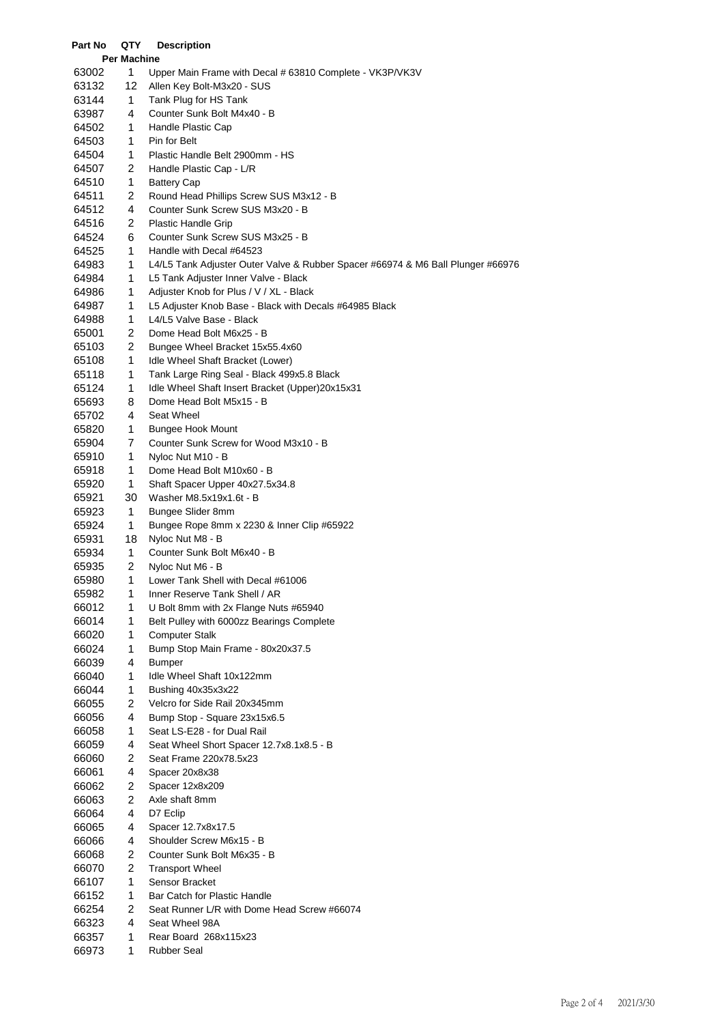## **Per Machine** 1 Upper Main Frame with Decal # 63810 Complete - VK3P/VK3V 12 Allen Key Bolt-M3x20 - SUS 1 Tank Plug for HS Tank 4 Counter Sunk Bolt M4x40 - B 1 Handle Plastic Cap 1 Pin for Belt 1 Plastic Handle Belt 2900mm - HS 2 Handle Plastic Cap - L/R 1 Battery Cap 2 Round Head Phillips Screw SUS M3x12 - B 4 Counter Sunk Screw SUS M3x20 - B 2 Plastic Handle Grip 6 Counter Sunk Screw SUS M3x25 - B 1 Handle with Decal #64523 1 L4/L5 Tank Adjuster Outer Valve & Rubber Spacer #66974 & M6 Ball Plunger #66976 1 L5 Tank Adjuster Inner Valve - Black 1 Adjuster Knob for Plus / V / XL - Black 1 L5 Adjuster Knob Base - Black with Decals #64985 Black 1 L4/L5 Valve Base - Black 2 Dome Head Bolt M6x25 - B 2 Bungee Wheel Bracket 15x55.4x60 1 Idle Wheel Shaft Bracket (Lower) 1 Tank Large Ring Seal - Black 499x5.8 Black 1 Idle Wheel Shaft Insert Bracket (Upper)20x15x31 8 Dome Head Bolt M5x15 - B 4 Seat Wheel 1 Bungee Hook Mount 7 Counter Sunk Screw for Wood M3x10 - B 1 Nyloc Nut M10 - B 1 Dome Head Bolt M10x60 - B 1 Shaft Spacer Upper 40x27.5x34.8 30 Washer M8.5x19x1.6t - B 1 Bungee Slider 8mm 1 Bungee Rope 8mm x 2230 & Inner Clip #65922 18 Nyloc Nut M8 - B 1 Counter Sunk Bolt M6x40 - B 2 Nyloc Nut M6 - B 1 Lower Tank Shell with Decal #61006 1 Inner Reserve Tank Shell / AR 1 U Bolt 8mm with 2x Flange Nuts #65940 1 Belt Pulley with 6000zz Bearings Complete 1 Computer Stalk 1 Bump Stop Main Frame - 80x20x37.5 4 Bumper 1 Idle Wheel Shaft 10x122mm 1 Bushing 40x35x3x22 2 Velcro for Side Rail 20x345mm 4 Bump Stop - Square 23x15x6.5 1 Seat LS-E28 - for Dual Rail 4 Seat Wheel Short Spacer 12.7x8.1x8.5 - B 2 Seat Frame 220x78.5x23 4 Spacer 20x8x38 2 Spacer 12x8x209 2 Axle shaft 8mm 4 D7 Eclip 4 Spacer 12.7x8x17.5 4 Shoulder Screw M6x15 - B 2 Counter Sunk Bolt M6x35 - B 2 Transport Wheel 1 Sensor Bracket 1 Bar Catch for Plastic Handle 2 Seat Runner L/R with Dome Head Screw #66074 4 Seat Wheel 98A 1 Rear Board 268x115x23

1 Rubber Seal

**Part No QTY Description**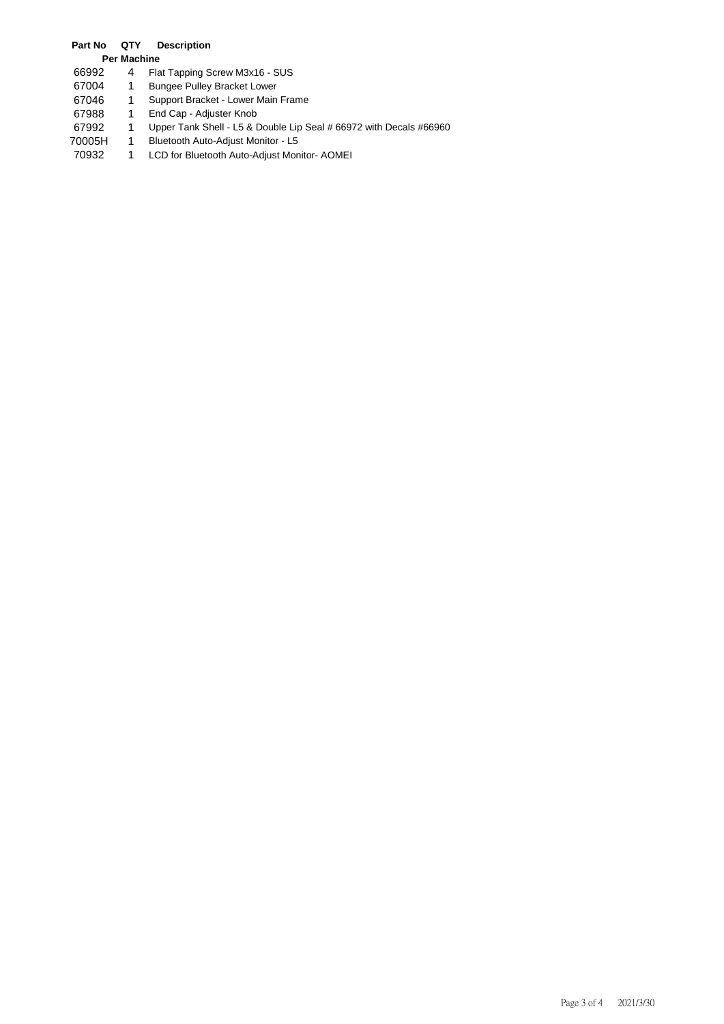## **Part No QTY Description**

|  | <b>Per Machine</b><br>$ -$ |  |
|--|----------------------------|--|
|--|----------------------------|--|

- 66992 4 Flat Tapping Screw M3x16 SUS<br>67004 1 Bungee Pulley Bracket Lower
- 67004 1 Bungee Pulley Bracket Lower<br>67046 1 Support Bracket Lower Main
- 67046 1 Support Bracket Lower Main Frame<br>67988 1 End Cap Adjuster Knob
- 67988 1 End Cap Adjuster Knob<br>67992 1 Upper Tank Shell L5 & I
- 67992 1 Upper Tank Shell L5 & Double Lip Seal # 66972 with Decals #66960<br>70005H 1 Bluetooth Auto-Adjust Monitor L5
- 70005H 1 Bluetooth Auto-Adjust Monitor L5<br>70932 1 LCD for Bluetooth Auto-Adjust Mon
- 1 LCD for Bluetooth Auto-Adjust Monitor- AOMEI